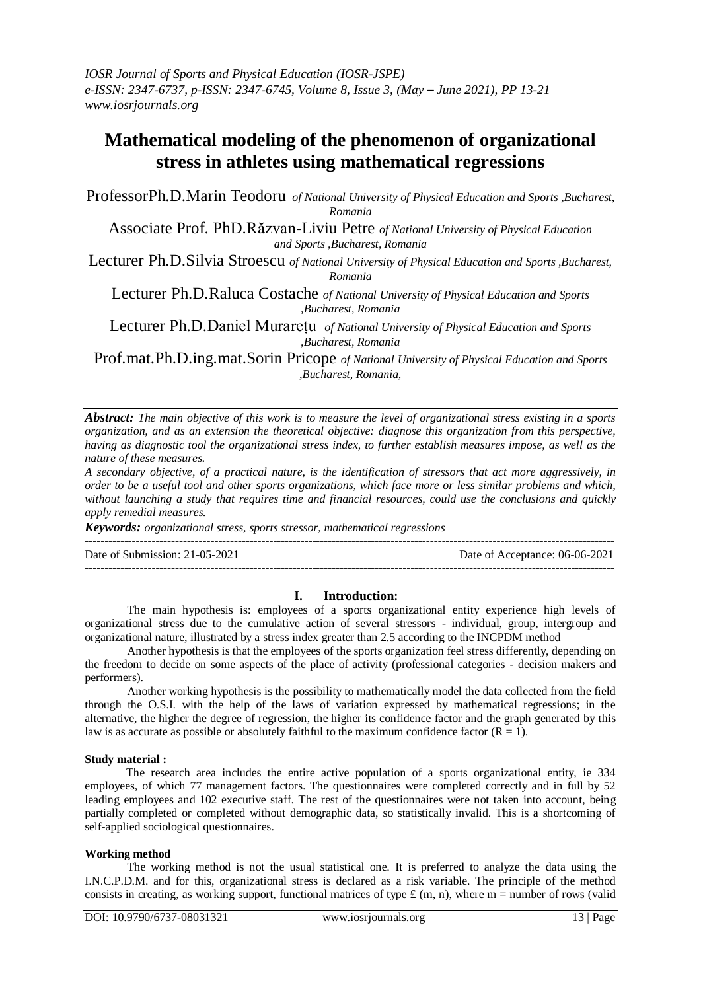# **Mathematical modeling of the phenomenon of organizational stress in athletes using mathematical regressions**

ProfessorPh.D.Marin Teodoru *of National University of Physical Education and Sports ,Bucharest, Romania*

Associate Prof. PhD.Răzvan-Liviu Petre *of National University of Physical Education and Sports ,Bucharest, Romania*

Lecturer Ph.D.Silvia Stroescu *of National University of Physical Education and Sports ,Bucharest,* 

*Romania*

Lecturer Ph.D.Raluca Costache *of National University of Physical Education and Sports ,Bucharest, Romania*

Lecturer Ph.D.Daniel Murarețu *of National University of Physical Education and Sports ,Bucharest, Romania*

Prof.mat.Ph.D.ing.mat.Sorin Pricope *of National University of Physical Education and Sports ,Bucharest, Romania,*

*Abstract: The main objective of this work is to measure the level of organizational stress existing in a sports organization, and as an extension the theoretical objective: diagnose this organization from this perspective, having as diagnostic tool the organizational stress index, to further establish measures impose, as well as the nature of these measures.*

*A secondary objective, of a practical nature, is the identification of stressors that act more aggressively, in order to be a useful tool and other sports organizations, which face more or less similar problems and which, without launching a study that requires time and financial resources, could use the conclusions and quickly apply remedial measures.*

*Keywords: organizational stress, sports stressor, mathematical regressions*

Date of Submission: 21-05-2021 Date of Acceptance: 06-06-2021

---------------------------------------------------------------------------------------------------------------------------------------

 $-1\leq i\leq n-1\leq n-1\leq n-1\leq n-1\leq n-1\leq n-1\leq n-1\leq n-1\leq n-1\leq n-1\leq n-1\leq n-1\leq n-1\leq n-1\leq n-1\leq n-1\leq n-1\leq n-1\leq n-1\leq n-1\leq n-1\leq n-1\leq n-1\leq n-1\leq n-1\leq n-1\leq n-1\leq n-1\leq n-1\leq n-1\leq n-1\leq n-1\leq n-1\leq n-1\leq n-1\leq n$ 

### **I. Introduction:**

The main hypothesis is: employees of a sports organizational entity experience high levels of organizational stress due to the cumulative action of several stressors - individual, group, intergroup and organizational nature, illustrated by a stress index greater than 2.5 according to the INCPDM method

Another hypothesis is that the employees of the sports organization feel stress differently, depending on the freedom to decide on some aspects of the place of activity (professional categories - decision makers and performers).

Another working hypothesis is the possibility to mathematically model the data collected from the field through the O.S.I. with the help of the laws of variation expressed by mathematical regressions; in the alternative, the higher the degree of regression, the higher its confidence factor and the graph generated by this law is as accurate as possible or absolutely faithful to the maximum confidence factor  $(R = 1)$ .

### **Study material :**

The research area includes the entire active population of a sports organizational entity, ie 334 employees, of which 77 management factors. The questionnaires were completed correctly and in full by 52 leading employees and 102 executive staff. The rest of the questionnaires were not taken into account, being partially completed or completed without demographic data, so statistically invalid. This is a shortcoming of self-applied sociological questionnaires.

# **Working method**

The working method is not the usual statistical one. It is preferred to analyze the data using the I.N.C.P.D.M. and for this, organizational stress is declared as a risk variable. The principle of the method consists in creating, as working support, functional matrices of type  $\pounds$  (m, n), where m = number of rows (valid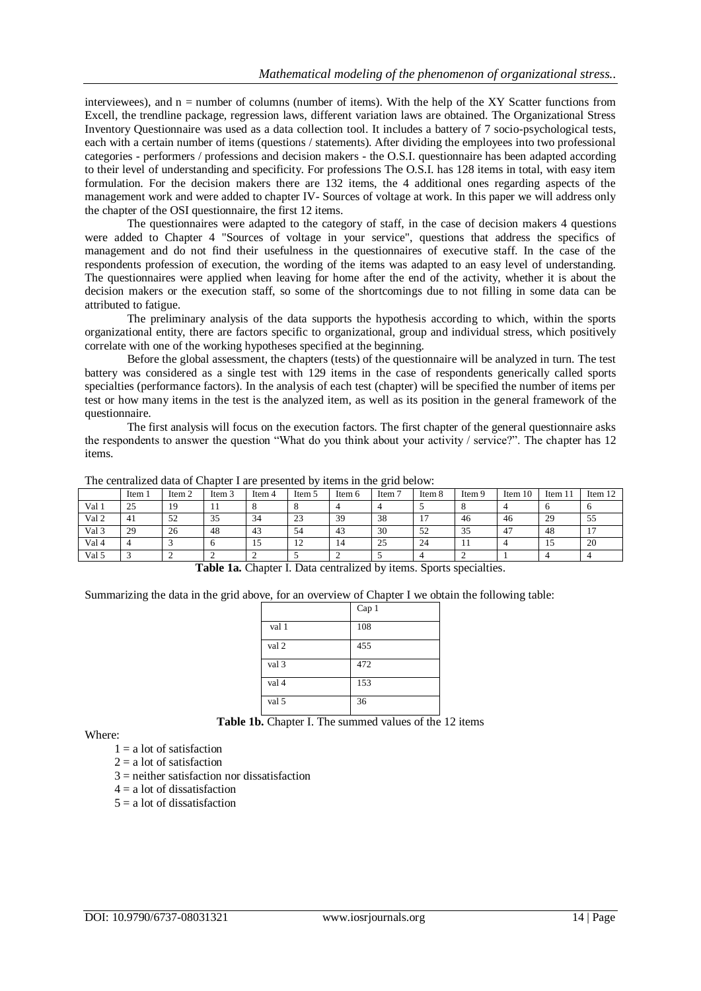interviewees), and  $n =$  number of columns (number of items). With the help of the XY Scatter functions from Excell, the trendline package, regression laws, different variation laws are obtained. The Organizational Stress Inventory Questionnaire was used as a data collection tool. It includes a battery of 7 socio-psychological tests, each with a certain number of items (questions / statements). After dividing the employees into two professional categories - performers / professions and decision makers - the O.S.I. questionnaire has been adapted according to their level of understanding and specificity. For professions The O.S.I. has 128 items in total, with easy item formulation. For the decision makers there are 132 items, the 4 additional ones regarding aspects of the management work and were added to chapter IV- Sources of voltage at work. In this paper we will address only the chapter of the OSI questionnaire, the first 12 items.

The questionnaires were adapted to the category of staff, in the case of decision makers 4 questions were added to Chapter 4 "Sources of voltage in your service", questions that address the specifics of management and do not find their usefulness in the questionnaires of executive staff. In the case of the respondents profession of execution, the wording of the items was adapted to an easy level of understanding. The questionnaires were applied when leaving for home after the end of the activity, whether it is about the decision makers or the execution staff, so some of the shortcomings due to not filling in some data can be attributed to fatigue.

The preliminary analysis of the data supports the hypothesis according to which, within the sports organizational entity, there are factors specific to organizational, group and individual stress, which positively correlate with one of the working hypotheses specified at the beginning.

Before the global assessment, the chapters (tests) of the questionnaire will be analyzed in turn. The test battery was considered as a single test with 129 items in the case of respondents generically called sports specialties (performance factors). In the analysis of each test (chapter) will be specified the number of items per test or how many items in the test is the analyzed item, as well as its position in the general framework of the questionnaire.

The first analysis will focus on the execution factors. The first chapter of the general questionnaire asks the respondents to answer the question "What do you think about your activity / service?". The chapter has 12 items.

|                  |        |        |        |        |        |        | ັ                 |        |        |         |         |                |
|------------------|--------|--------|--------|--------|--------|--------|-------------------|--------|--------|---------|---------|----------------|
|                  | Item 1 | Item 2 | Item 3 | Item 4 | Item 5 | Item 6 | Item <sup>1</sup> | Item 8 | Item 9 | Item 10 | Item 11 | Item 12        |
| Val 1            | 25     | 19     |        |        |        |        |                   |        |        |         | .,      |                |
| Val <sub>2</sub> | -41    | 52     | 35     | 34     | 23     | 39     | 38                |        | 46     | 46      | 29      | 55             |
| Val 3            | 29     | 26     | 48     | 43     | 54     | 43     | 30                | 52     | 35     | -47     | 48      | $\overline{ }$ |
| Val 4            |        |        |        | 15     | 12     | 14     | 25                | 24     |        |         | -10     | 20             |
| Val 5            |        |        |        |        |        |        |                   |        |        |         |         |                |

The centralized data of Chapter I are presented by items in the grid below:

**Table 1a.** Chapter I. Data centralized by items. Sports specialties.

Summarizing the data in the grid above, for an overview of Chapter I we obtain the following table:

|       | Cap 1 |
|-------|-------|
| val 1 | 108   |
| val 2 | 455   |
| val 3 | 472   |
| val 4 | 153   |
| val 5 | 36    |

**Table 1b.** Chapter I. The summed values of the 12 items

Where:

- $1 = a$  lot of satisfaction
- $2 = a$  lot of satisfaction
- $3$  = neither satisfaction nor dissatisfaction
- $4 = a$  lot of dissatisfaction
- $5 = a$  lot of dissatisfaction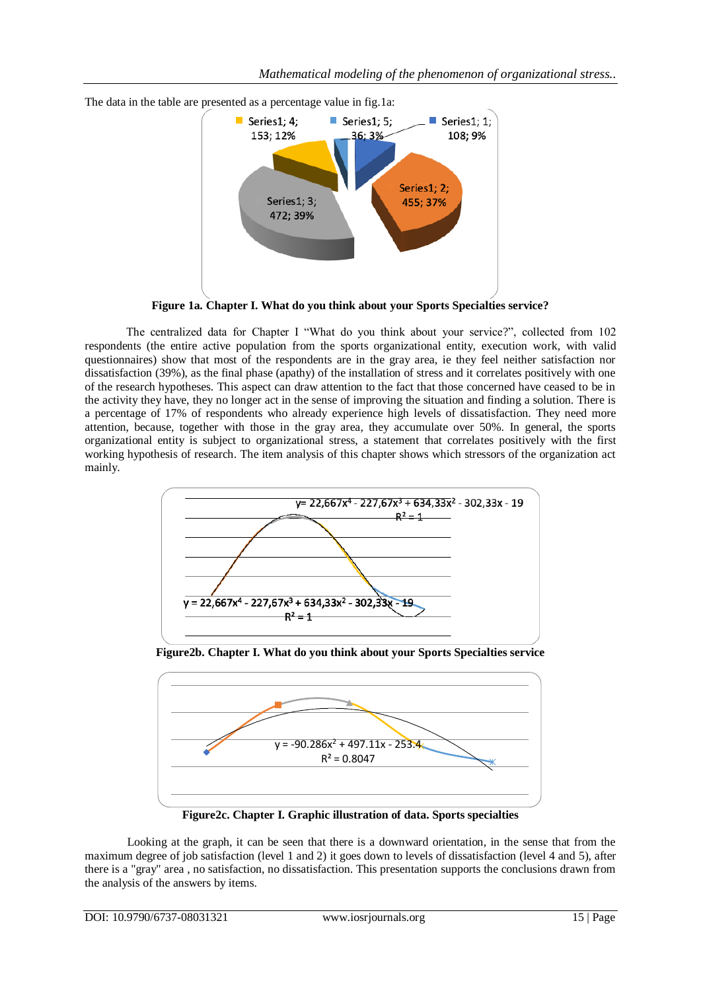

**Figure 1a. Chapter I. What do you think about your Sports Specialties service?**

The centralized data for Chapter I "What do you think about your service?", collected from 102 respondents (the entire active population from the sports organizational entity, execution work, with valid questionnaires) show that most of the respondents are in the gray area, ie they feel neither satisfaction nor dissatisfaction (39%), as the final phase (apathy) of the installation of stress and it correlates positively with one of the research hypotheses. This aspect can draw attention to the fact that those concerned have ceased to be in the activity they have, they no longer act in the sense of improving the situation and finding a solution. There is a percentage of 17% of respondents who already experience high levels of dissatisfaction. They need more attention, because, together with those in the gray area, they accumulate over 50%. In general, the sports organizational entity is subject to organizational stress, a statement that correlates positively with the first working hypothesis of research. The item analysis of this chapter shows which stressors of the organization act mainly.



**Figure2b. Chapter I. What do you think about your Sports Specialties service**



**Figure2c. Chapter I. Graphic illustration of data. Sports specialties**

Looking at the graph, it can be seen that there is a downward orientation, in the sense that from the maximum degree of job satisfaction (level 1 and 2) it goes down to levels of dissatisfaction (level 4 and 5), after there is a "gray" area , no satisfaction, no dissatisfaction. This presentation supports the conclusions drawn from the analysis of the answers by items.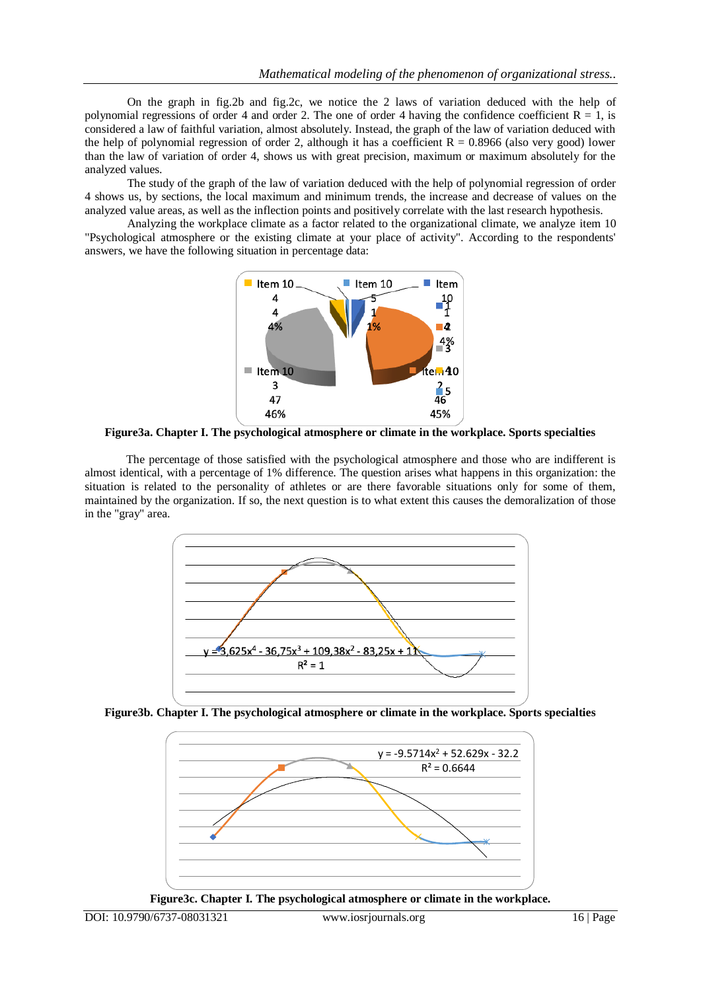On the graph in fig.2b and fig.2c, we notice the 2 laws of variation deduced with the help of polynomial regressions of order 4 and order 2. The one of order 4 having the confidence coefficient  $R = 1$ , is considered a law of faithful variation, almost absolutely. Instead, the graph of the law of variation deduced with the help of polynomial regression of order 2, although it has a coefficient  $R = 0.8966$  (also very good) lower than the law of variation of order 4, shows us with great precision, maximum or maximum absolutely for the analyzed values.

The study of the graph of the law of variation deduced with the help of polynomial regression of order 4 shows us, by sections, the local maximum and minimum trends, the increase and decrease of values on the analyzed value areas, as well as the inflection points and positively correlate with the last research hypothesis.

Analyzing the workplace climate as a factor related to the organizational climate, we analyze item 10 "Psychological atmosphere or the existing climate at your place of activity". According to the respondents' answers, we have the following situation in percentage data:



**Figure3a. Chapter I. The psychological atmosphere or climate in the workplace. Sports specialties**

The percentage of those satisfied with the psychological atmosphere and those who are indifferent is almost identical, with a percentage of 1% difference. The question arises what happens in this organization: the situation is related to the personality of athletes or are there favorable situations only for some of them, maintained by the organization. If so, the next question is to what extent this causes the demoralization of those in the "gray" area.



**Figure3b. Chapter I. The psychological atmosphere or climate in the workplace. Sports specialties**



**Figure3c. Chapter I. The psychological atmosphere or climate in the workplace.**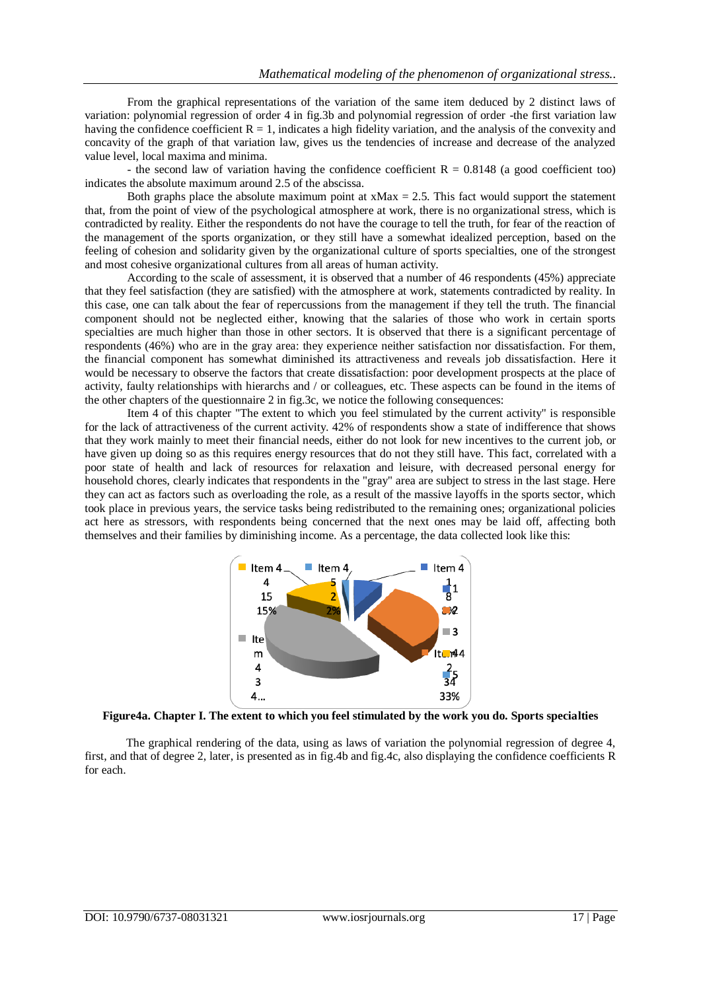From the graphical representations of the variation of the same item deduced by 2 distinct laws of variation: polynomial regression of order 4 in fig.3b and polynomial regression of order -the first variation law having the confidence coefficient  $R = 1$ , indicates a high fidelity variation, and the analysis of the convexity and concavity of the graph of that variation law, gives us the tendencies of increase and decrease of the analyzed value level, local maxima and minima.

- the second law of variation having the confidence coefficient  $R = 0.8148$  (a good coefficient too) indicates the absolute maximum around 2.5 of the abscissa.

Both graphs place the absolute maximum point at  $xMax = 2.5$ . This fact would support the statement that, from the point of view of the psychological atmosphere at work, there is no organizational stress, which is contradicted by reality. Either the respondents do not have the courage to tell the truth, for fear of the reaction of the management of the sports organization, or they still have a somewhat idealized perception, based on the feeling of cohesion and solidarity given by the organizational culture of sports specialties, one of the strongest and most cohesive organizational cultures from all areas of human activity.

According to the scale of assessment, it is observed that a number of 46 respondents (45%) appreciate that they feel satisfaction (they are satisfied) with the atmosphere at work, statements contradicted by reality. In this case, one can talk about the fear of repercussions from the management if they tell the truth. The financial component should not be neglected either, knowing that the salaries of those who work in certain sports specialties are much higher than those in other sectors. It is observed that there is a significant percentage of respondents (46%) who are in the gray area: they experience neither satisfaction nor dissatisfaction. For them, the financial component has somewhat diminished its attractiveness and reveals job dissatisfaction. Here it would be necessary to observe the factors that create dissatisfaction: poor development prospects at the place of activity, faulty relationships with hierarchs and / or colleagues, etc. These aspects can be found in the items of the other chapters of the questionnaire 2 in fig.3c, we notice the following consequences:

Item 4 of this chapter "The extent to which you feel stimulated by the current activity" is responsible for the lack of attractiveness of the current activity. 42% of respondents show a state of indifference that shows that they work mainly to meet their financial needs, either do not look for new incentives to the current job, or have given up doing so as this requires energy resources that do not they still have. This fact, correlated with a poor state of health and lack of resources for relaxation and leisure, with decreased personal energy for household chores, clearly indicates that respondents in the "gray" area are subject to stress in the last stage. Here they can act as factors such as overloading the role, as a result of the massive layoffs in the sports sector, which took place in previous years, the service tasks being redistributed to the remaining ones; organizational policies act here as stressors, with respondents being concerned that the next ones may be laid off, affecting both themselves and their families by diminishing income. As a percentage, the data collected look like this:



**Figure4a. Chapter I. The extent to which you feel stimulated by the work you do. Sports specialties**

The graphical rendering of the data, using as laws of variation the polynomial regression of degree 4, first, and that of degree 2, later, is presented as in fig.4b and fig.4c, also displaying the confidence coefficients R for each.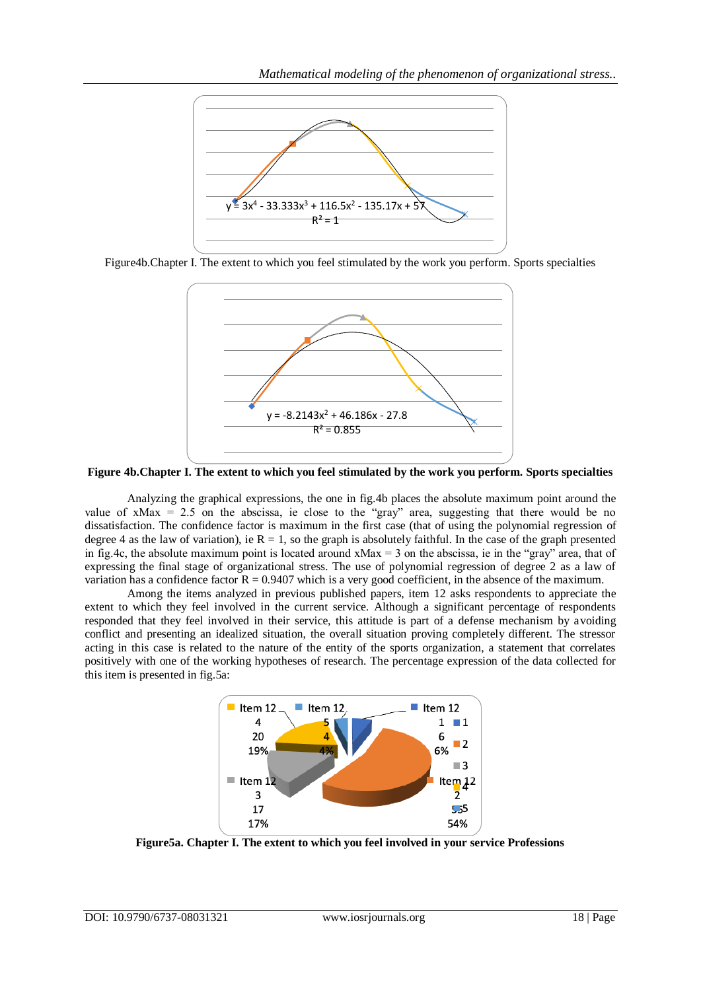

Figure4b.Chapter I. The extent to which you feel stimulated by the work you perform. Sports specialties



**Figure 4b.Chapter I. The extent to which you feel stimulated by the work you perform. Sports specialties**

Analyzing the graphical expressions, the one in fig.4b places the absolute maximum point around the value of  $x$ Max = 2.5 on the abscissa, ie close to the "gray" area, suggesting that there would be no dissatisfaction. The confidence factor is maximum in the first case (that of using the polynomial regression of degree 4 as the law of variation), ie  $R = 1$ , so the graph is absolutely faithful. In the case of the graph presented in fig.4c, the absolute maximum point is located around  $xMax = 3$  on the abscissa, ie in the "gray" area, that of expressing the final stage of organizational stress. The use of polynomial regression of degree 2 as a law of variation has a confidence factor  $R = 0.9407$  which is a very good coefficient, in the absence of the maximum.

Among the items analyzed in previous published papers, item 12 asks respondents to appreciate the extent to which they feel involved in the current service. Although a significant percentage of respondents responded that they feel involved in their service, this attitude is part of a defense mechanism by avoiding conflict and presenting an idealized situation, the overall situation proving completely different. The stressor acting in this case is related to the nature of the entity of the sports organization, a statement that correlates positively with one of the working hypotheses of research. The percentage expression of the data collected for this item is presented in fig.5a:



**Figure5a. Chapter I. The extent to which you feel involved in your service Professions**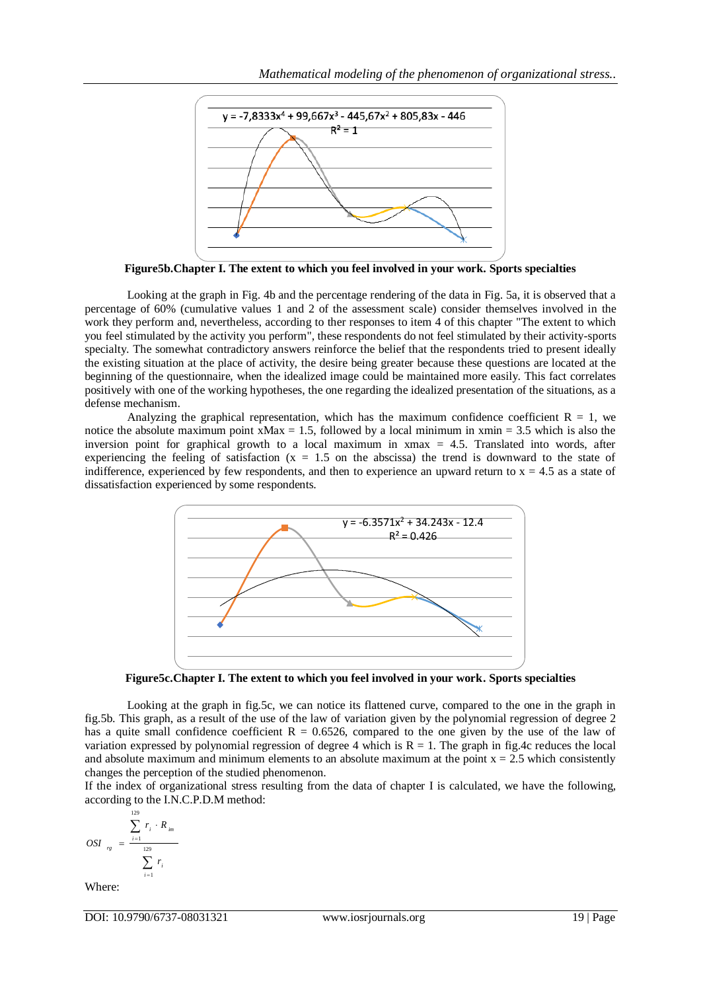

**Figure5b.Chapter I. The extent to which you feel involved in your work. Sports specialties**

Looking at the graph in Fig. 4b and the percentage rendering of the data in Fig. 5a, it is observed that a percentage of 60% (cumulative values 1 and 2 of the assessment scale) consider themselves involved in the work they perform and, nevertheless, according to ther responses to item 4 of this chapter "The extent to which you feel stimulated by the activity you perform", these respondents do not feel stimulated by their activity-sports specialty. The somewhat contradictory answers reinforce the belief that the respondents tried to present ideally the existing situation at the place of activity, the desire being greater because these questions are located at the beginning of the questionnaire, when the idealized image could be maintained more easily. This fact correlates positively with one of the working hypotheses, the one regarding the idealized presentation of the situations, as a defense mechanism.

Analyzing the graphical representation, which has the maximum confidence coefficient  $R = 1$ , we notice the absolute maximum point  $xMax = 1.5$ , followed by a local minimum in  $xmin = 3.5$  which is also the inversion point for graphical growth to a local maximum in xmax = 4.5. Translated into words, after experiencing the feeling of satisfaction  $(x = 1.5)$  on the abscissa) the trend is downward to the state of indifference, experienced by few respondents, and then to experience an upward return to  $x = 4.5$  as a state of dissatisfaction experienced by some respondents.



**Figure5c.Chapter I. The extent to which you feel involved in your work. Sports specialties**

Looking at the graph in fig.5c, we can notice its flattened curve, compared to the one in the graph in fig.5b. This graph, as a result of the use of the law of variation given by the polynomial regression of degree 2 has a quite small confidence coefficient  $R = 0.6526$ , compared to the one given by the use of the law of variation expressed by polynomial regression of degree 4 which is  $R = 1$ . The graph in fig.4c reduces the local and absolute maximum and minimum elements to an absolute maximum at the point  $x = 2.5$  which consistently changes the perception of the studied phenomenon.

If the index of organizational stress resulting from the data of chapter I is calculated, we have the following, according to the I.N.C.P.D.M method:

$$
OSI_{rg} = \frac{\sum_{i=1}^{129} r_i \cdot R_{im}}{\sum_{i=1}^{129} r_i}
$$

Where:

DOI: 10.9790/6737-08031321 www.iosrjournals.org 19 | Page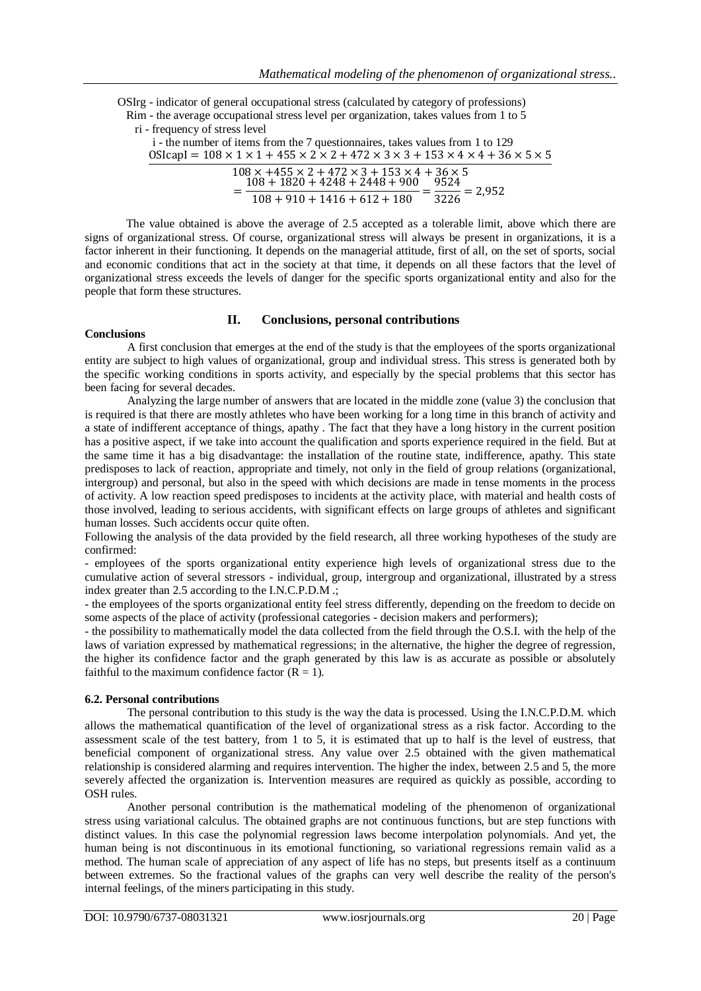OSIrg - indicator of general occupational stress (calculated by category of professions) Rim - the average occupational stress level per organization, takes values from 1 to 5 ri - frequency of stress level

| i - the number of items from the 7 questionnaires, takes values from 1 to 129<br>$OSlcapI = 108 \times 1 \times 1 + 455 \times 2 \times 2 + 472 \times 3 \times 3 + 153 \times 4 \times 4 + 36 \times 5 \times 5$ |
|-------------------------------------------------------------------------------------------------------------------------------------------------------------------------------------------------------------------|
| $108 \times +455 \times 2 + 472 \times 3 + 153 \times 4 + 36 \times 5$<br>$108 + 1820 + 4248 + 2448 + 900$<br>9524                                                                                                |
| $\frac{180}{180} = \frac{1}{3226} = 2,952$<br>$108 + 910 + 1416 + 612 + 180$                                                                                                                                      |

The value obtained is above the average of 2.5 accepted as a tolerable limit, above which there are signs of organizational stress. Of course, organizational stress will always be present in organizations, it is a factor inherent in their functioning. It depends on the managerial attitude, first of all, on the set of sports, social and economic conditions that act in the society at that time, it depends on all these factors that the level of organizational stress exceeds the levels of danger for the specific sports organizational entity and also for the people that form these structures.

# **II. Conclusions, personal contributions**

## **Conclusions**

A first conclusion that emerges at the end of the study is that the employees of the sports organizational entity are subject to high values of organizational, group and individual stress. This stress is generated both by the specific working conditions in sports activity, and especially by the special problems that this sector has been facing for several decades.

Analyzing the large number of answers that are located in the middle zone (value 3) the conclusion that is required is that there are mostly athletes who have been working for a long time in this branch of activity and a state of indifferent acceptance of things, apathy . The fact that they have a long history in the current position has a positive aspect, if we take into account the qualification and sports experience required in the field. But at the same time it has a big disadvantage: the installation of the routine state, indifference, apathy. This state predisposes to lack of reaction, appropriate and timely, not only in the field of group relations (organizational, intergroup) and personal, but also in the speed with which decisions are made in tense moments in the process of activity. A low reaction speed predisposes to incidents at the activity place, with material and health costs of those involved, leading to serious accidents, with significant effects on large groups of athletes and significant human losses. Such accidents occur quite often.

Following the analysis of the data provided by the field research, all three working hypotheses of the study are confirmed:

- employees of the sports organizational entity experience high levels of organizational stress due to the cumulative action of several stressors - individual, group, intergroup and organizational, illustrated by a stress index greater than 2.5 according to the I.N.C.P.D.M .;

- the employees of the sports organizational entity feel stress differently, depending on the freedom to decide on some aspects of the place of activity (professional categories - decision makers and performers);

- the possibility to mathematically model the data collected from the field through the O.S.I. with the help of the laws of variation expressed by mathematical regressions; in the alternative, the higher the degree of regression, the higher its confidence factor and the graph generated by this law is as accurate as possible or absolutely faithful to the maximum confidence factor  $(R = 1)$ .

# **6.2. Personal contributions**

The personal contribution to this study is the way the data is processed. Using the I.N.C.P.D.M. which allows the mathematical quantification of the level of organizational stress as a risk factor. According to the assessment scale of the test battery, from 1 to 5, it is estimated that up to half is the level of eustress, that beneficial component of organizational stress. Any value over 2.5 obtained with the given mathematical relationship is considered alarming and requires intervention. The higher the index, between 2.5 and 5, the more severely affected the organization is. Intervention measures are required as quickly as possible, according to OSH rules.

Another personal contribution is the mathematical modeling of the phenomenon of organizational stress using variational calculus. The obtained graphs are not continuous functions, but are step functions with distinct values. In this case the polynomial regression laws become interpolation polynomials. And yet, the human being is not discontinuous in its emotional functioning, so variational regressions remain valid as a method. The human scale of appreciation of any aspect of life has no steps, but presents itself as a continuum between extremes. So the fractional values of the graphs can very well describe the reality of the person's internal feelings, of the miners participating in this study.